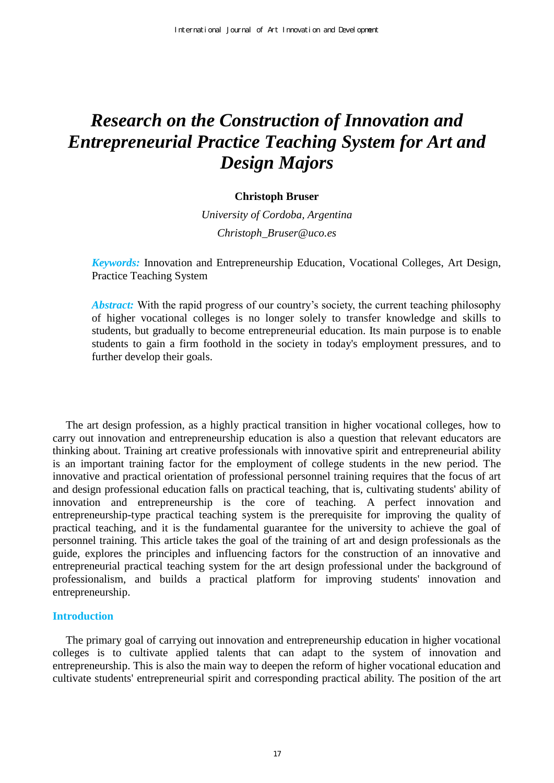# *Research on the Construction of Innovation and Entrepreneurial Practice Teaching System for Art and Design Majors*

## **Christoph Bruser**

*University of Cordoba, Argentina Christoph\_Bruser@uco.es* 

*Keywords:* Innovation and Entrepreneurship Education, Vocational Colleges, Art Design, Practice Teaching System

*Abstract:* With the rapid progress of our country's society, the current teaching philosophy of higher vocational colleges is no longer solely to transfer knowledge and skills to students, but gradually to become entrepreneurial education. Its main purpose is to enable students to gain a firm foothold in the society in today's employment pressures, and to further develop their goals.

The art design profession, as a highly practical transition in higher vocational colleges, how to carry out innovation and entrepreneurship education is also a question that relevant educators are thinking about. Training art creative professionals with innovative spirit and entrepreneurial ability is an important training factor for the employment of college students in the new period. The innovative and practical orientation of professional personnel training requires that the focus of art and design professional education falls on practical teaching, that is, cultivating students' ability of innovation and entrepreneurship is the core of teaching. A perfect innovation and entrepreneurship-type practical teaching system is the prerequisite for improving the quality of practical teaching, and it is the fundamental guarantee for the university to achieve the goal of personnel training. This article takes the goal of the training of art and design professionals as the guide, explores the principles and influencing factors for the construction of an innovative and entrepreneurial practical teaching system for the art design professional under the background of professionalism, and builds a practical platform for improving students' innovation and entrepreneurship.

## **Introduction**

The primary goal of carrying out innovation and entrepreneurship education in higher vocational colleges is to cultivate applied talents that can adapt to the system of innovation and entrepreneurship. This is also the main way to deepen the reform of higher vocational education and cultivate students' entrepreneurial spirit and corresponding practical ability. The position of the art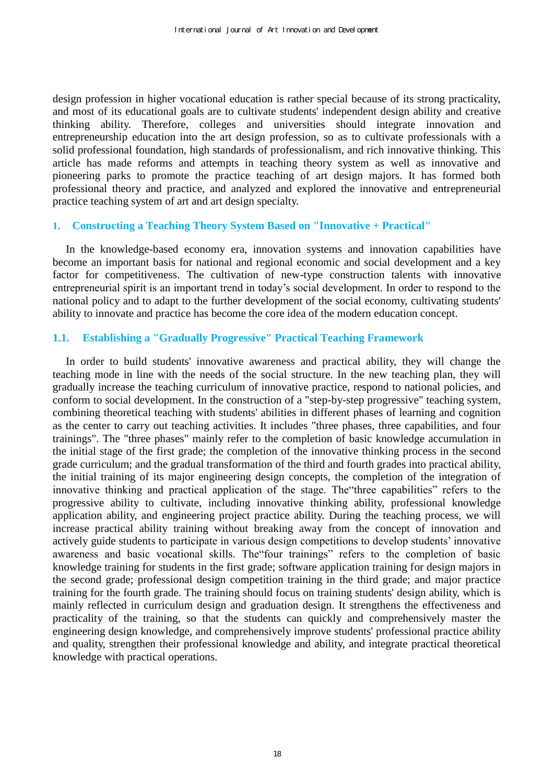design profession in higher vocational education is rather special because of its strong practicality, and most of its educational goals are to cultivate students' independent design ability and creative thinking ability. Therefore, colleges and universities should integrate innovation and entrepreneurship education into the art design profession, so as to cultivate professionals with a solid professional foundation, high standards of professionalism, and rich innovative thinking. This article has made reforms and attempts in teaching theory system as well as innovative and pioneering parks to promote the practice teaching of art design majors. It has formed both professional theory and practice, and analyzed and explored the innovative and entrepreneurial practice teaching system of art and art design specialty.

## **1. Constructing a Teaching Theory System Based on "Innovative + Practical"**

In the knowledge-based economy era, innovation systems and innovation capabilities have become an important basis for national and regional economic and social development and a key factor for competitiveness. The cultivation of new-type construction talents with innovative entrepreneurial spirit is an important trend in today's social development. In order to respond to the national policy and to adapt to the further development of the social economy, cultivating students' ability to innovate and practice has become the core idea of the modern education concept.

# **1.1. Establishing a "Gradually Progressive" Practical Teaching Framework**

In order to build students' innovative awareness and practical ability, they will change the teaching mode in line with the needs of the social structure. In the new teaching plan, they will gradually increase the teaching curriculum of innovative practice, respond to national policies, and conform to social development. In the construction of a "step-by-step progressive" teaching system, combining theoretical teaching with students' abilities in different phases of learning and cognition as the center to carry out teaching activities. It includes "three phases, three capabilities, and four trainings". The "three phases" mainly refer to the completion of basic knowledge accumulation in the initial stage of the first grade; the completion of the innovative thinking process in the second grade curriculum; and the gradual transformation of the third and fourth grades into practical ability, the initial training of its major engineering design concepts, the completion of the integration of innovative thinking and practical application of the stage. The"three capabilities" refers to the progressive ability to cultivate, including innovative thinking ability, professional knowledge application ability, and engineering project practice ability. During the teaching process, we will increase practical ability training without breaking away from the concept of innovation and actively guide students to participate in various design competitions to develop students' innovative awareness and basic vocational skills. The"four trainings" refers to the completion of basic knowledge training for students in the first grade; software application training for design majors in the second grade; professional design competition training in the third grade; and major practice training for the fourth grade. The training should focus on training students' design ability, which is mainly reflected in curriculum design and graduation design. It strengthens the effectiveness and practicality of the training, so that the students can quickly and comprehensively master the engineering design knowledge, and comprehensively improve students' professional practice ability and quality, strengthen their professional knowledge and ability, and integrate practical theoretical knowledge with practical operations.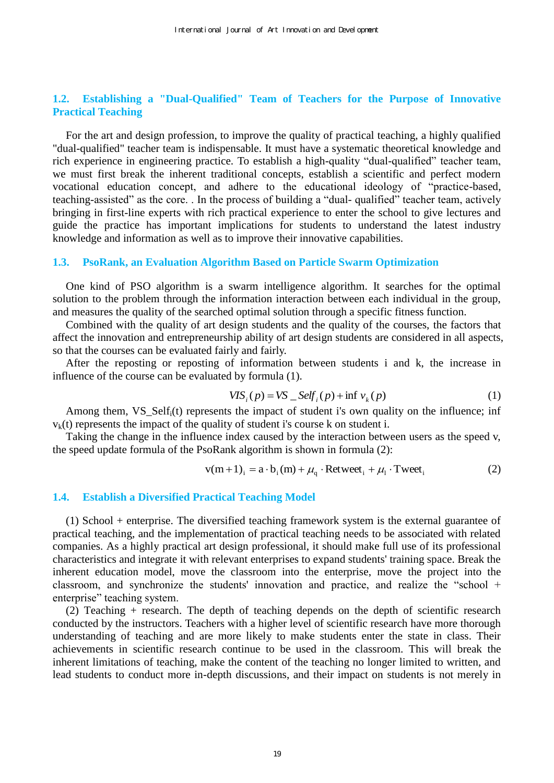# **1.2. Establishing a "Dual-Qualified" Team of Teachers for the Purpose of Innovative Practical Teaching**

For the art and design profession, to improve the quality of practical teaching, a highly qualified "dual-qualified" teacher team is indispensable. It must have a systematic theoretical knowledge and rich experience in engineering practice. To establish a high-quality "dual-qualified" teacher team, we must first break the inherent traditional concepts, establish a scientific and perfect modern vocational education concept, and adhere to the educational ideology of "practice-based, teaching-assisted" as the core. . In the process of building a "dual- qualified" teacher team, actively bringing in first-line experts with rich practical experience to enter the school to give lectures and guide the practice has important implications for students to understand the latest industry knowledge and information as well as to improve their innovative capabilities.

#### **1.3. PsoRank, an Evaluation Algorithm Based on Particle Swarm Optimization**

One kind of PSO algorithm is a swarm intelligence algorithm. It searches for the optimal solution to the problem through the information interaction between each individual in the group, and measures the quality of the searched optimal solution through a specific fitness function.

Combined with the quality of art design students and the quality of the courses, the factors that affect the innovation and entrepreneurship ability of art design students are considered in all aspects, so that the courses can be evaluated fairly and fairly.

After the reposting or reposting of information between students i and k, the increase in influence of the course can be evaluated by formula (1).

$$
VIS_i(p) = VS \, _{\_}Self_i(p) + \inf v_k(p) \tag{1}
$$

Among them, VS\_Self<sub>i</sub>(t) represents the impact of student i's own quality on the influence; inf  $v_k(t)$  represents the impact of the quality of student i's course k on student i.

Taking the change in the influence index caused by the interaction between users as the speed v, the speed update formula of the PsoRank algorithm is shown in formula (2):

$$
v(m+1)i = a \cdot bi(m) + \muq \cdot Retweeti + \mul \cdot Tweeti
$$
 (2)

#### **1.4. Establish a Diversified Practical Teaching Model**

(1) School + enterprise. The diversified teaching framework system is the external guarantee of practical teaching, and the implementation of practical teaching needs to be associated with related companies. As a highly practical art design professional, it should make full use of its professional characteristics and integrate it with relevant enterprises to expand students' training space. Break the inherent education model, move the classroom into the enterprise, move the project into the classroom, and synchronize the students' innovation and practice, and realize the "school + enterprise" teaching system.

(2) Teaching + research. The depth of teaching depends on the depth of scientific research conducted by the instructors. Teachers with a higher level of scientific research have more thorough understanding of teaching and are more likely to make students enter the state in class. Their achievements in scientific research continue to be used in the classroom. This will break the inherent limitations of teaching, make the content of the teaching no longer limited to written, and lead students to conduct more in-depth discussions, and their impact on students is not merely in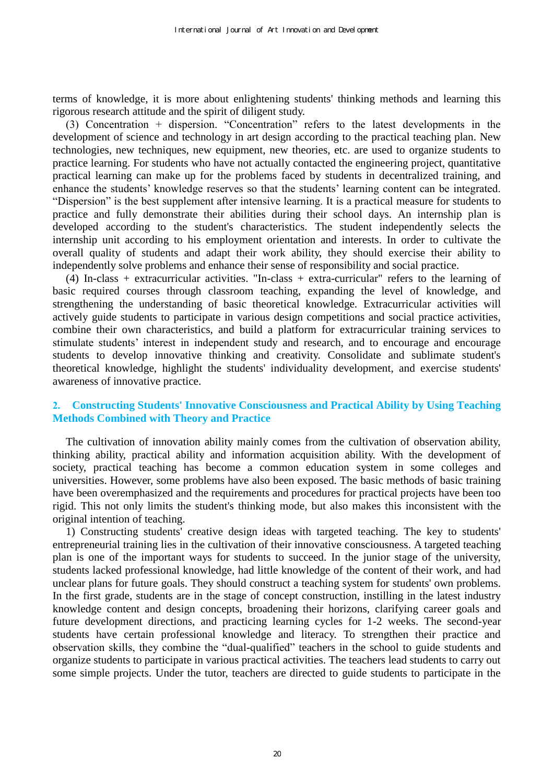terms of knowledge, it is more about enlightening students' thinking methods and learning this rigorous research attitude and the spirit of diligent study.

(3) Concentration + dispersion. "Concentration" refers to the latest developments in the development of science and technology in art design according to the practical teaching plan. New technologies, new techniques, new equipment, new theories, etc. are used to organize students to practice learning. For students who have not actually contacted the engineering project, quantitative practical learning can make up for the problems faced by students in decentralized training, and enhance the students' knowledge reserves so that the students' learning content can be integrated. "Dispersion" is the best supplement after intensive learning. It is a practical measure for students to practice and fully demonstrate their abilities during their school days. An internship plan is developed according to the student's characteristics. The student independently selects the internship unit according to his employment orientation and interests. In order to cultivate the overall quality of students and adapt their work ability, they should exercise their ability to independently solve problems and enhance their sense of responsibility and social practice.

(4) In-class + extracurricular activities. "In-class + extra-curricular" refers to the learning of basic required courses through classroom teaching, expanding the level of knowledge, and strengthening the understanding of basic theoretical knowledge. Extracurricular activities will actively guide students to participate in various design competitions and social practice activities, combine their own characteristics, and build a platform for extracurricular training services to stimulate students' interest in independent study and research, and to encourage and encourage students to develop innovative thinking and creativity. Consolidate and sublimate student's theoretical knowledge, highlight the students' individuality development, and exercise students' awareness of innovative practice.

## **2. Constructing Students' Innovative Consciousness and Practical Ability by Using Teaching Methods Combined with Theory and Practice**

The cultivation of innovation ability mainly comes from the cultivation of observation ability, thinking ability, practical ability and information acquisition ability. With the development of society, practical teaching has become a common education system in some colleges and universities. However, some problems have also been exposed. The basic methods of basic training have been overemphasized and the requirements and procedures for practical projects have been too rigid. This not only limits the student's thinking mode, but also makes this inconsistent with the original intention of teaching.

1) Constructing students' creative design ideas with targeted teaching. The key to students' entrepreneurial training lies in the cultivation of their innovative consciousness. A targeted teaching plan is one of the important ways for students to succeed. In the junior stage of the university, students lacked professional knowledge, had little knowledge of the content of their work, and had unclear plans for future goals. They should construct a teaching system for students' own problems. In the first grade, students are in the stage of concept construction, instilling in the latest industry knowledge content and design concepts, broadening their horizons, clarifying career goals and future development directions, and practicing learning cycles for 1-2 weeks. The second-year students have certain professional knowledge and literacy. To strengthen their practice and observation skills, they combine the "dual-qualified" teachers in the school to guide students and organize students to participate in various practical activities. The teachers lead students to carry out some simple projects. Under the tutor, teachers are directed to guide students to participate in the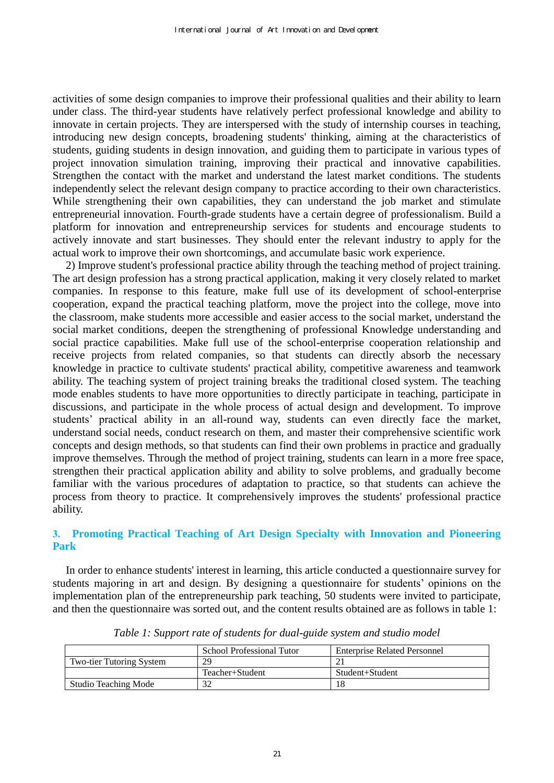activities of some design companies to improve their professional qualities and their ability to learn under class. The third-year students have relatively perfect professional knowledge and ability to innovate in certain projects. They are interspersed with the study of internship courses in teaching, introducing new design concepts, broadening students' thinking, aiming at the characteristics of students, guiding students in design innovation, and guiding them to participate in various types of project innovation simulation training, improving their practical and innovative capabilities. Strengthen the contact with the market and understand the latest market conditions. The students independently select the relevant design company to practice according to their own characteristics. While strengthening their own capabilities, they can understand the job market and stimulate entrepreneurial innovation. Fourth-grade students have a certain degree of professionalism. Build a platform for innovation and entrepreneurship services for students and encourage students to actively innovate and start businesses. They should enter the relevant industry to apply for the actual work to improve their own shortcomings, and accumulate basic work experience.

2) Improve student's professional practice ability through the teaching method of project training. The art design profession has a strong practical application, making it very closely related to market companies. In response to this feature, make full use of its development of school-enterprise cooperation, expand the practical teaching platform, move the project into the college, move into the classroom, make students more accessible and easier access to the social market, understand the social market conditions, deepen the strengthening of professional Knowledge understanding and social practice capabilities. Make full use of the school-enterprise cooperation relationship and receive projects from related companies, so that students can directly absorb the necessary knowledge in practice to cultivate students' practical ability, competitive awareness and teamwork ability. The teaching system of project training breaks the traditional closed system. The teaching mode enables students to have more opportunities to directly participate in teaching, participate in discussions, and participate in the whole process of actual design and development. To improve students' practical ability in an all-round way, students can even directly face the market, understand social needs, conduct research on them, and master their comprehensive scientific work concepts and design methods, so that students can find their own problems in practice and gradually improve themselves. Through the method of project training, students can learn in a more free space, strengthen their practical application ability and ability to solve problems, and gradually become familiar with the various procedures of adaptation to practice, so that students can achieve the process from theory to practice. It comprehensively improves the students' professional practice ability.

# **3. Promoting Practical Teaching of Art Design Specialty with Innovation and Pioneering Park**

In order to enhance students' interest in learning, this article conducted a questionnaire survey for students majoring in art and design. By designing a questionnaire for students' opinions on the implementation plan of the entrepreneurship park teaching, 50 students were invited to participate, and then the questionnaire was sorted out, and the content results obtained are as follows in table 1:

|                                 | School Professional Tutor | <b>Enterprise Related Personnel</b> |
|---------------------------------|---------------------------|-------------------------------------|
| <b>Two-tier Tutoring System</b> | 29                        |                                     |
|                                 | Teacher+Student           | Student+Student                     |
| <b>Studio Teaching Mode</b>     |                           |                                     |

*Table 1: Support rate of students for dual-guide system and studio model*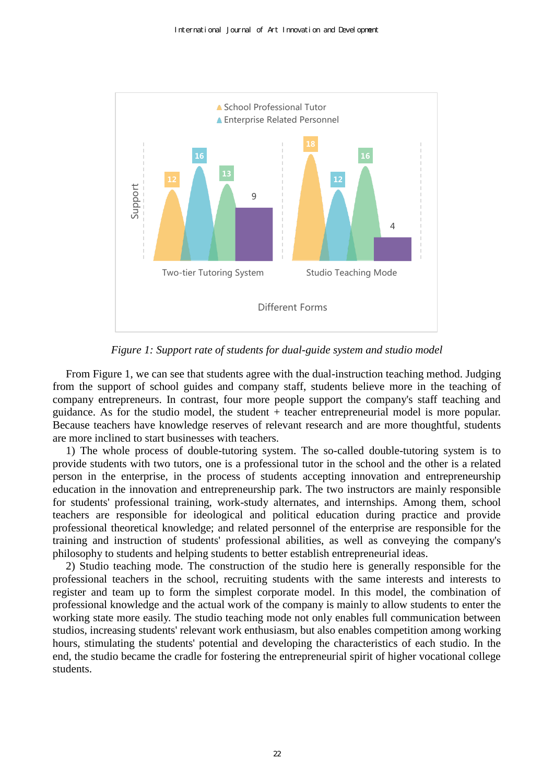

*Figure 1: Support rate of students for dual-guide system and studio model* 

From Figure 1, we can see that students agree with the dual-instruction teaching method. Judging from the support of school guides and company staff, students believe more in the teaching of company entrepreneurs. In contrast, four more people support the company's staff teaching and guidance. As for the studio model, the student + teacher entrepreneurial model is more popular. Because teachers have knowledge reserves of relevant research and are more thoughtful, students are more inclined to start businesses with teachers.

1) The whole process of double-tutoring system. The so-called double-tutoring system is to provide students with two tutors, one is a professional tutor in the school and the other is a related person in the enterprise, in the process of students accepting innovation and entrepreneurship education in the innovation and entrepreneurship park. The two instructors are mainly responsible for students' professional training, work-study alternates, and internships. Among them, school teachers are responsible for ideological and political education during practice and provide professional theoretical knowledge; and related personnel of the enterprise are responsible for the training and instruction of students' professional abilities, as well as conveying the company's philosophy to students and helping students to better establish entrepreneurial ideas.

2) Studio teaching mode. The construction of the studio here is generally responsible for the professional teachers in the school, recruiting students with the same interests and interests to register and team up to form the simplest corporate model. In this model, the combination of professional knowledge and the actual work of the company is mainly to allow students to enter the working state more easily. The studio teaching mode not only enables full communication between studios, increasing students' relevant work enthusiasm, but also enables competition among working hours, stimulating the students' potential and developing the characteristics of each studio. In the end, the studio became the cradle for fostering the entrepreneurial spirit of higher vocational college students.